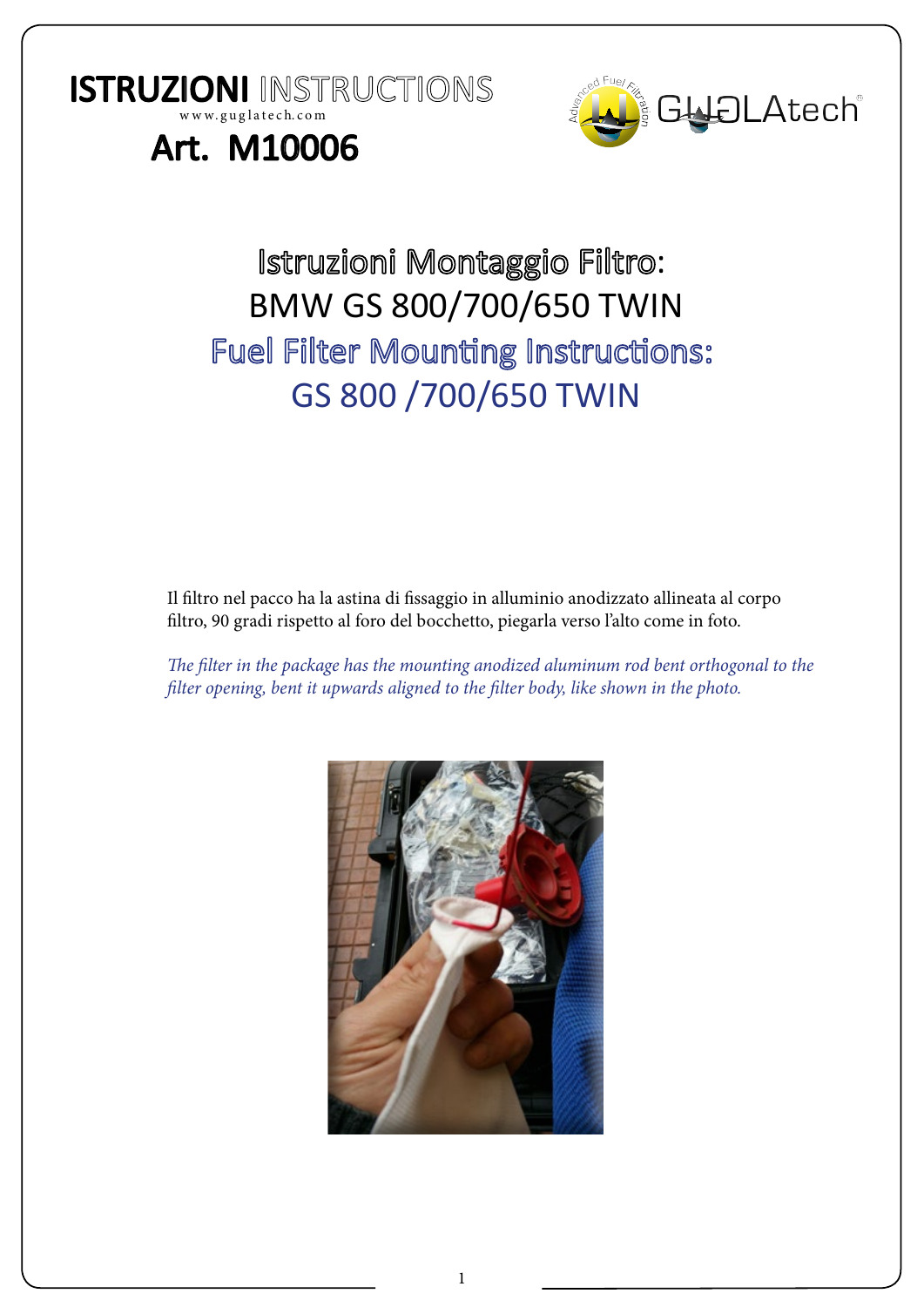ISTRUZIONI INSTRUCTIONS



## Art. M10006

w w w. g u g l a t e c h. c o m

## Istruzioni Montaggio Filtro: BMW GS 800/700/650 TWIN **Fuel Filter Mounting Instructions:** GS 800 /700/650 TWIN

Il filtro nel pacco ha la astina di fissaggio in alluminio anodizzato allineata al corpo filtro, 90 gradi rispetto al foro del bocchetto, piegarla verso l'alto come in foto.

*The filter in the package has the mounting anodized aluminum rod bent orthogonal to the filter opening, bent it upwards aligned to the filter body, like shown in the photo.*

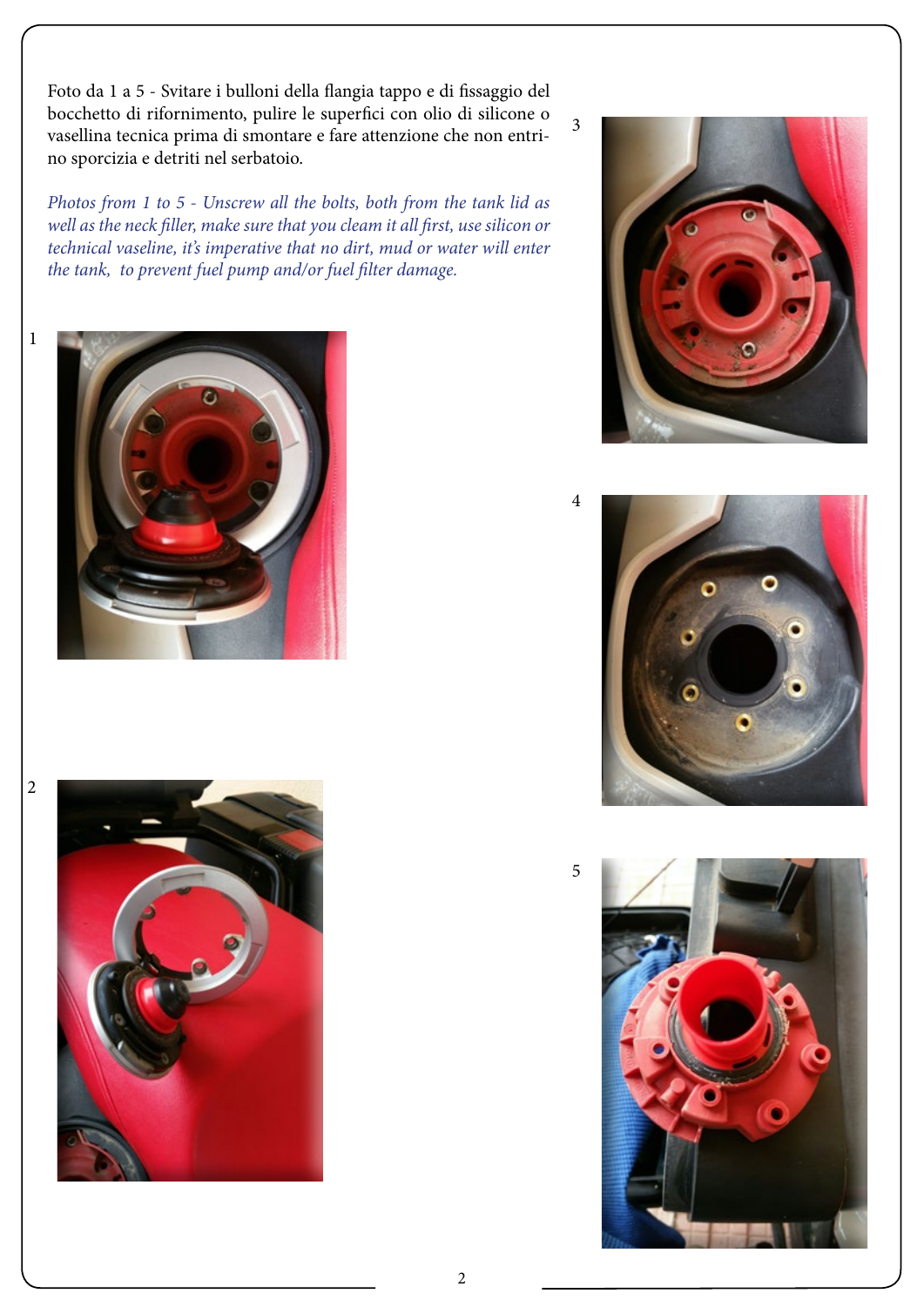Foto da 1 a 5 - Svitare i bulloni della flangia tappo e di fissaggio del bocchetto di rifornimento, pulire le superfici con olio di silicone o vasellina tecnica prima di smontare e fare attenzione che non entrino sporcizia e detriti nel serbatoio.

*Photos from 1 to 5 - Unscrew all the bolts, both from the tank lid as well as the neck filler, make sure that you cleam it all first, use silicon or technical vaseline, it's imperative that no dirt, mud or water will enter the tank, to prevent fuel pump and/or fuel filter damage.*















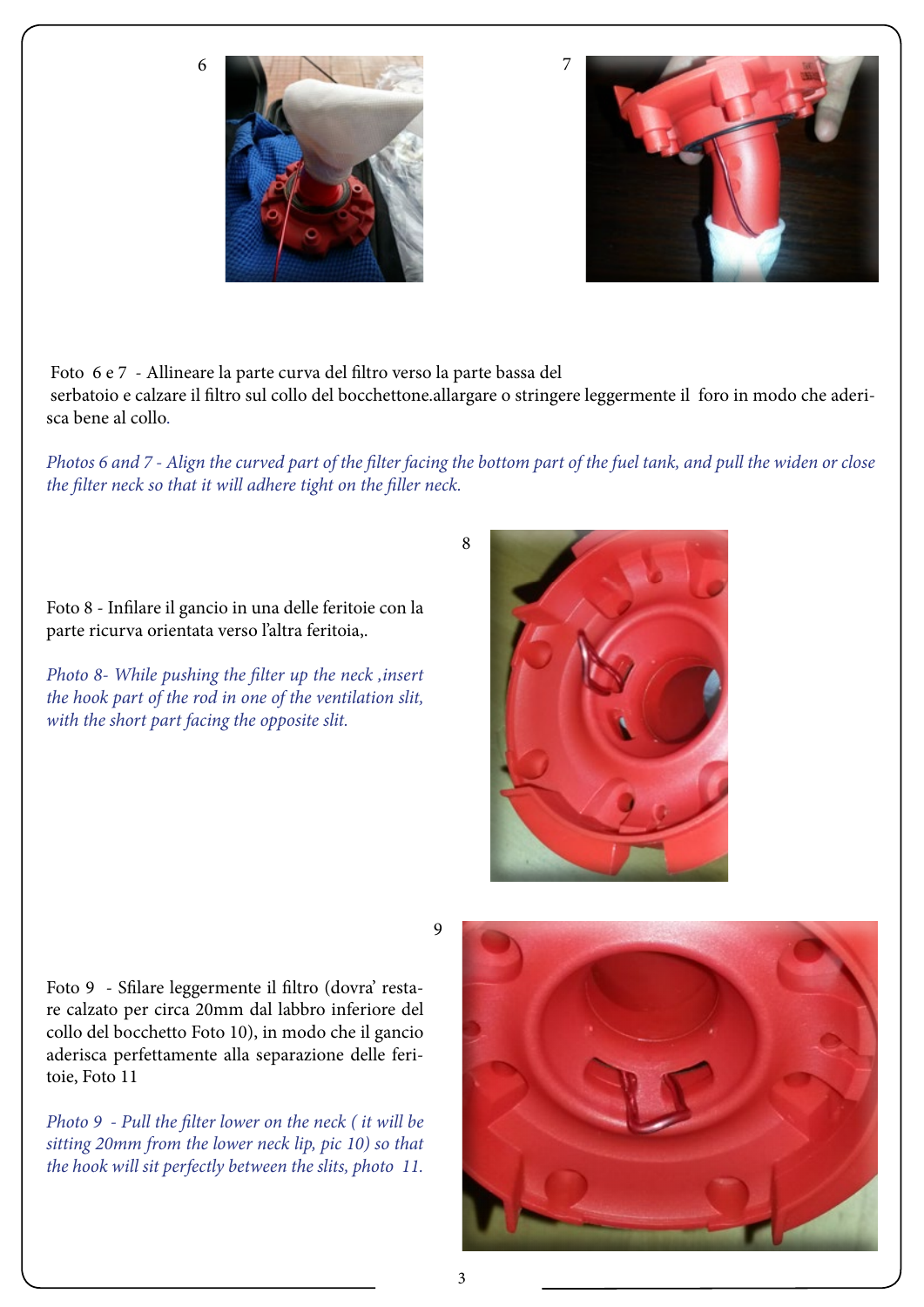6





 Foto 6 e 7 - Allineare la parte curva del filtro verso la parte bassa del serbatoio e calzare il filtro sul collo del bocchettone.allargare o stringere leggermente il foro in modo che aderisca bene al collo.

*Photos 6 and 7 - Align the curved part of the filter facing the bottom part of the fuel tank, and pull the widen or close the filter neck so that it will adhere tight on the filler neck.*

8

Foto 8 - Infilare il gancio in una delle feritoie con la parte ricurva orientata verso l'altra feritoia,.

*Photo 8- While pushing the filter up the neck ,insert the hook part of the rod in one of the ventilation slit, with the short part facing the opposite slit.*

9

Foto 9 - Sfilare leggermente il filtro (dovra' restare calzato per circa 20mm dal labbro inferiore del collo del bocchetto Foto 10), in modo che il gancio aderisca perfettamente alla separazione delle feritoie, Foto 11

*Photo 9 - Pull the filter lower on the neck ( it will be sitting 20mm from the lower neck lip, pic 10) so that the hook will sit perfectly between the slits, photo 11.*

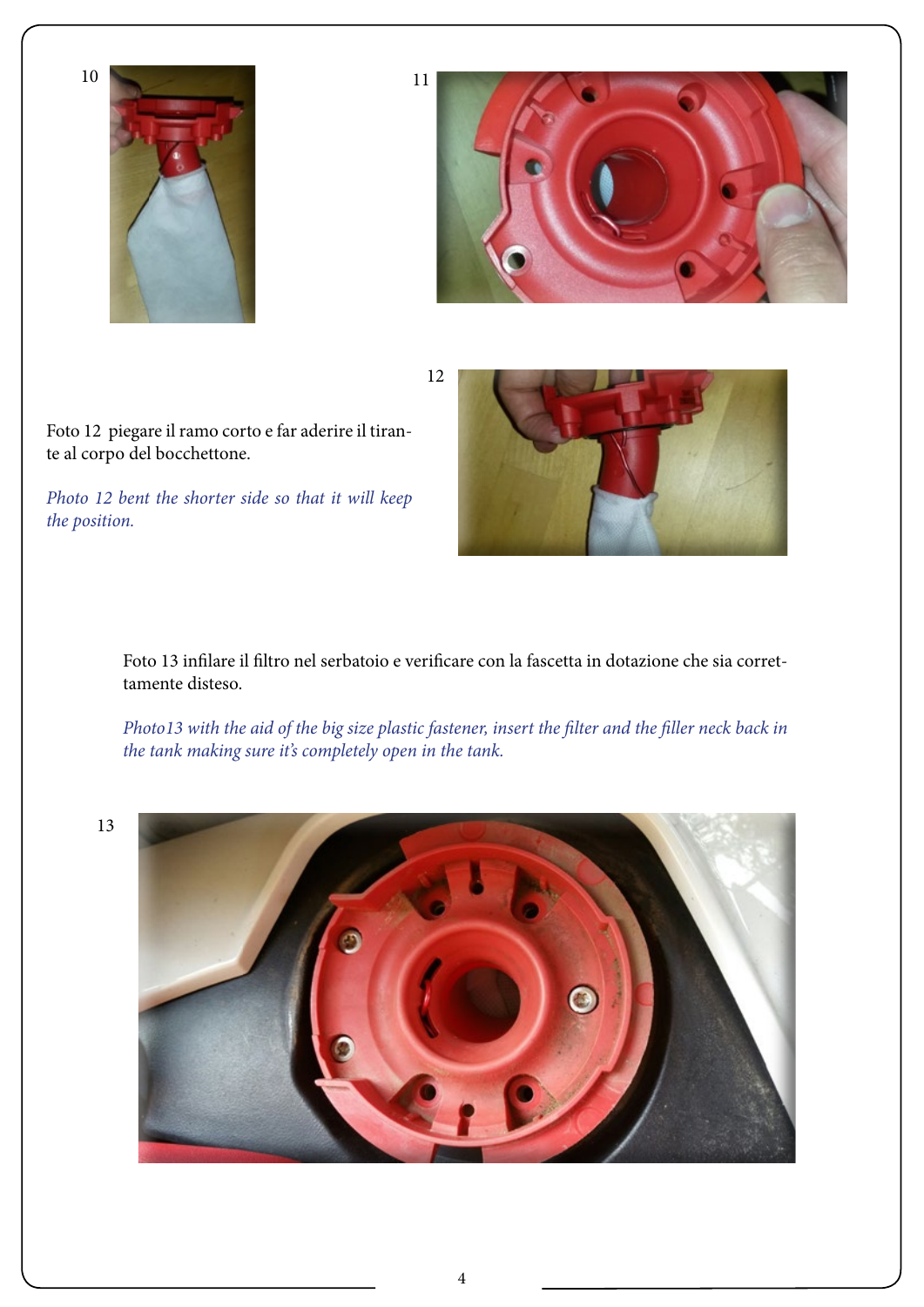



12



*Photo 12 bent the shorter side so that it will keep the position.*



Foto 13 infilare il filtro nel serbatoio e verificare con la fascetta in dotazione che sia correttamente disteso.

*Photo13 with the aid of the big size plastic fastener, insert the filter and the filler neck back in the tank making sure it's completely open in the tank.*

13